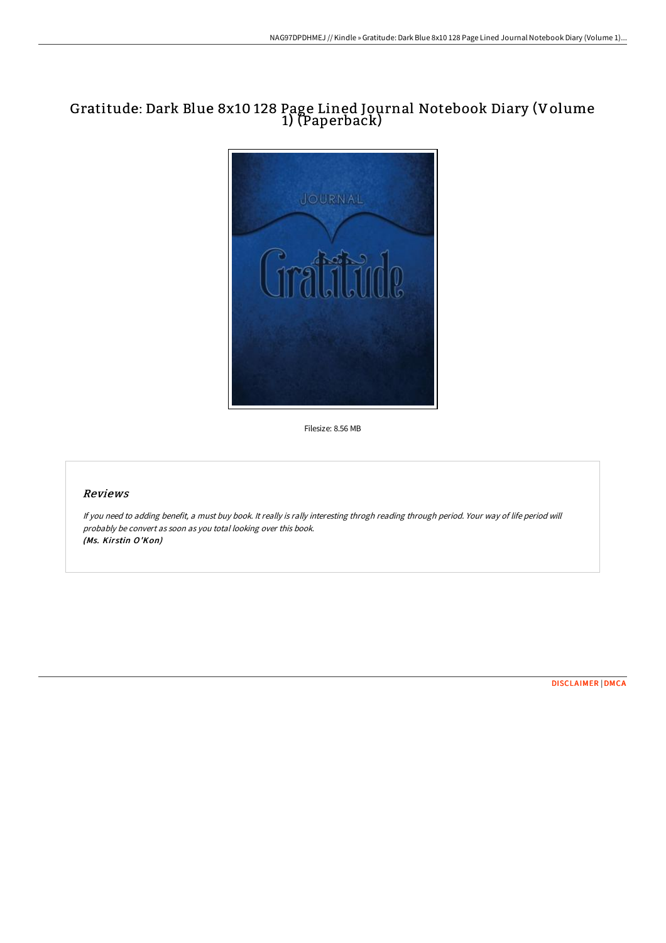## Gratitude: Dark Blue 8x10 128 Page Lined Journal Notebook Diary (Volume 1) (Paperback)



Filesize: 8.56 MB

## Reviews

If you need to adding benefit, <sup>a</sup> must buy book. It really is rally interesting throgh reading through period. Your way of life period will probably be convert as soon as you total looking over this book. (Ms. Kirstin O'Kon)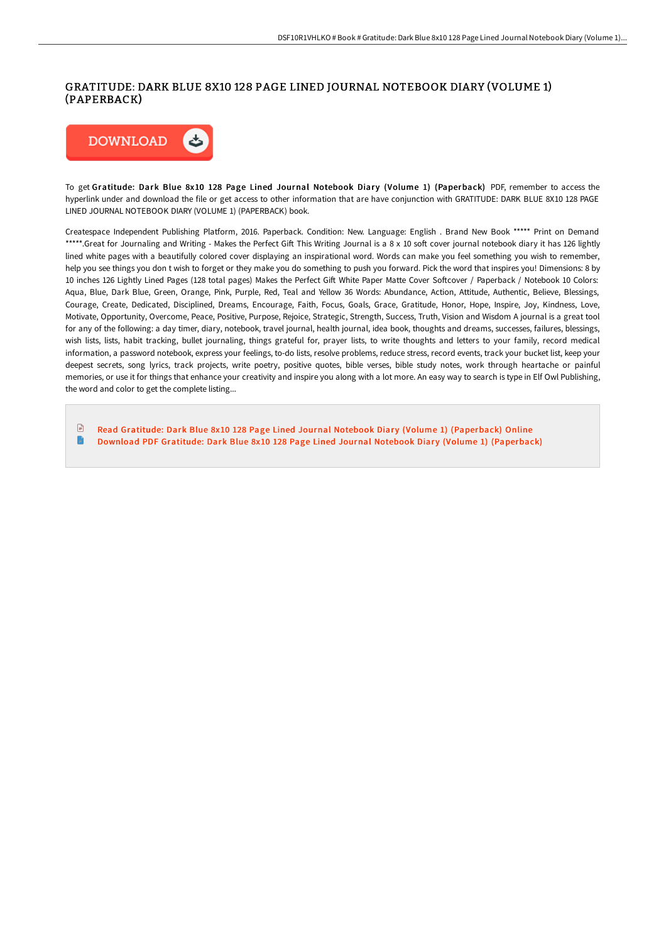## GRATITUDE: DARK BLUE 8X10 128 PAGE LINED JOURNAL NOTEBOOK DIARY (VOLUME 1) (PAPERBACK)



To get Gratitude: Dark Blue 8x10 128 Page Lined Journal Notebook Diary (Volume 1) (Paperback) PDF, remember to access the hyperlink under and download the file or get access to other information that are have conjunction with GRATITUDE: DARK BLUE 8X10 128 PAGE LINED JOURNAL NOTEBOOK DIARY (VOLUME 1) (PAPERBACK) book.

Createspace Independent Publishing Platform, 2016. Paperback. Condition: New. Language: English . Brand New Book \*\*\*\*\* Print on Demand \*\*\*\*\*.Great for Journaling and Writing - Makes the Perfect Gift This Writing Journal is a 8 x 10 soft cover journal notebook diary it has 126 lightly lined white pages with a beautifully colored cover displaying an inspirational word. Words can make you feel something you wish to remember, help you see things you don t wish to forget or they make you do something to push you forward. Pick the word that inspires you! Dimensions: 8 by 10 inches 126 Lightly Lined Pages (128 total pages) Makes the Perfect Gift White Paper Matte Cover Softcover / Paperback / Notebook 10 Colors: Aqua, Blue, Dark Blue, Green, Orange, Pink, Purple, Red, Teal and Yellow 36 Words: Abundance, Action, Attitude, Authentic, Believe, Blessings, Courage, Create, Dedicated, Disciplined, Dreams, Encourage, Faith, Focus, Goals, Grace, Gratitude, Honor, Hope, Inspire, Joy, Kindness, Love, Motivate, Opportunity, Overcome, Peace, Positive, Purpose, Rejoice, Strategic, Strength, Success, Truth, Vision and Wisdom A journal is a great tool for any of the following: a day timer, diary, notebook, travel journal, health journal, idea book, thoughts and dreams, successes, failures, blessings, wish lists, lists, habit tracking, bullet journaling, things grateful for, prayer lists, to write thoughts and letters to your family, record medical information, a password notebook, express your feelings, to-do lists, resolve problems, reduce stress, record events, track your bucket list, keep your deepest secrets, song lyrics, track projects, write poetry, positive quotes, bible verses, bible study notes, work through heartache or painful memories, or use it for things that enhance your creativity and inspire you along with a lot more. An easy way to search is type in Elf Owl Publishing, the word and color to get the complete listing...

 $\mathbb{R}$ Read Gratitude: Dark Blue 8x10 128 Page Lined Journal Notebook Diary (Volume 1) [\(Paperback\)](http://bookera.tech/gratitude-dark-blue-8x10-128-page-lined-journal-.html) Online n Download PDF Gratitude: Dark Blue 8x10 128 Page Lined Journal Notebook Diary (Volume 1) [\(Paperback\)](http://bookera.tech/gratitude-dark-blue-8x10-128-page-lined-journal-.html)